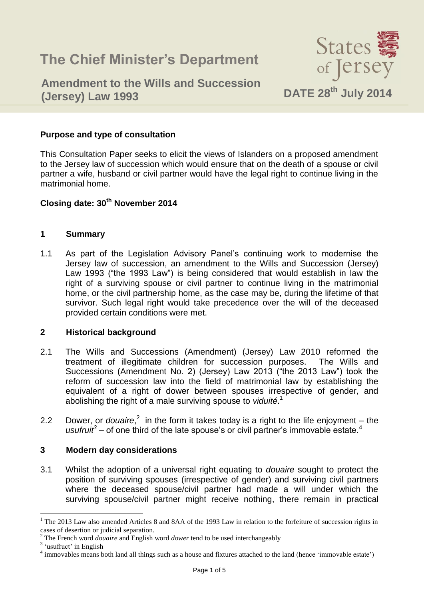# **The Chief Minister's Department**



## **Amendment to the Wills and Succession (Jersey) Law 1993 DATE 28th July 2014**

#### **Purpose and type of consultation**

This Consultation Paper seeks to elicit the views of Islanders on a proposed amendment to the Jersey law of succession which would ensure that on the death of a spouse or civil partner a wife, husband or civil partner would have the legal right to continue living in the matrimonial home.

### **Closing date: 30th November 2014**

#### **1 Summary**

1.1 As part of the Legislation Advisory Panel's continuing work to modernise the Jersey law of succession, an amendment to the Wills and Succession (Jersey) Law 1993 ("the 1993 Law") is being considered that would establish in law the right of a surviving spouse or civil partner to continue living in the matrimonial home, or the civil partnership home, as the case may be, during the lifetime of that survivor. Such legal right would take precedence over the will of the deceased provided certain conditions were met.

#### **2 Historical background**

- 2.1 The Wills and Successions (Amendment) (Jersey) Law 2010 reformed the treatment of illegitimate children for succession purposes. The Wills and Successions (Amendment No. 2) (Jersey) Law 2013 ("the 2013 Law") took the reform of succession law into the field of matrimonial law by establishing the equivalent of a right of dower between spouses irrespective of gender, and abolishing the right of a male surviving spouse to *viduité*. 1
- 2.2 Dower, or *douaire*,<sup>2</sup> in the form it takes today is a right to the life enjoyment the usufruit<sup>3</sup> – of one third of the late spouse's or civil partner's immovable estate.<sup>4</sup>

#### **3 Modern day considerations**

3.1 Whilst the adoption of a universal right equating to *douaire* sought to protect the position of surviving spouses (irrespective of gender) and surviving civil partners where the deceased spouse/civil partner had made a will under which the surviving spouse/civil partner might receive nothing, there remain in practical

 $\overline{a}$ 

<sup>&</sup>lt;sup>1</sup> The 2013 Law also amended Articles 8 and 8AA of the 1993 Law in relation to the forfeiture of succession rights in cases of desertion or judicial separation.

<sup>2</sup> The French word *douaire* and English word *dower* tend to be used interchangeably

<sup>&</sup>lt;sup>3</sup> 'usufruct' in English

<sup>&</sup>lt;sup>4</sup> immovables means both land all things such as a house and fixtures attached to the land (hence 'immovable estate')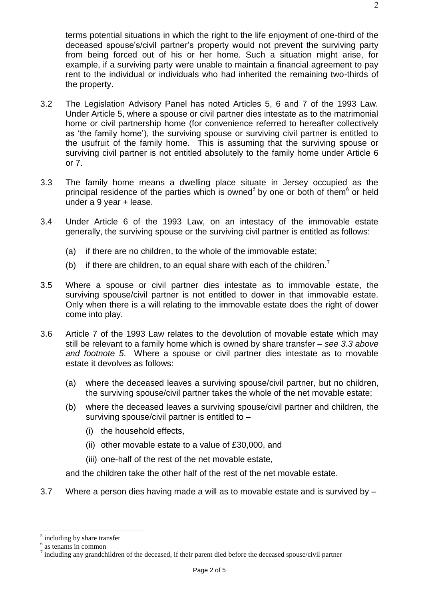terms potential situations in which the right to the life enjoyment of one-third of the deceased spouse's/civil partner's property would not prevent the surviving party from being forced out of his or her home. Such a situation might arise, for example, if a surviving party were unable to maintain a financial agreement to pay rent to the individual or individuals who had inherited the remaining two-thirds of the property.

- 3.2 The Legislation Advisory Panel has noted Articles 5, 6 and 7 of the 1993 Law. Under Article 5, where a spouse or civil partner dies intestate as to the matrimonial home or civil partnership home (for convenience referred to hereafter collectively as 'the family home'), the surviving spouse or surviving civil partner is entitled to the usufruit of the family home. This is assuming that the surviving spouse or surviving civil partner is not entitled absolutely to the family home under Article 6 or 7.
- 3.3 The family home means a dwelling place situate in Jersey occupied as the principal residence of the parties which is owned<sup>5</sup> by one or both of them<sup>6</sup> or held under a 9 year + lease.
- 3.4 Under Article 6 of the 1993 Law, on an intestacy of the immovable estate generally, the surviving spouse or the surviving civil partner is entitled as follows:
	- (a) if there are no children, to the whole of the immovable estate;
	- (b) if there are children, to an equal share with each of the children.<sup>7</sup>
- 3.5 Where a spouse or civil partner dies intestate as to immovable estate, the surviving spouse/civil partner is not entitled to dower in that immovable estate. Only when there is a will relating to the immovable estate does the right of dower come into play.
- 3.6 Article 7 of the 1993 Law relates to the devolution of movable estate which may still be relevant to a family home which is owned by share transfer – *see 3.3 above and footnote 5*. Where a spouse or civil partner dies intestate as to movable estate it devolves as follows:
	- (a) where the deceased leaves a surviving spouse/civil partner, but no children, the surviving spouse/civil partner takes the whole of the net movable estate;
	- (b) where the deceased leaves a surviving spouse/civil partner and children, the surviving spouse/civil partner is entitled to –
		- (i) the household effects,
		- (ii) other movable estate to a value of £30,000, and
		- (iii) one-half of the rest of the net movable estate,

and the children take the other half of the rest of the net movable estate.

3.7 Where a person dies having made a will as to movable estate and is survived by –

 $\overline{a}$ 

<sup>&</sup>lt;sup>5</sup> including by share transfer

<sup>6</sup> as tenants in common

 $<sup>7</sup>$  including any grandchildren of the deceased, if their parent died before the deceased spouse/civil partner</sup>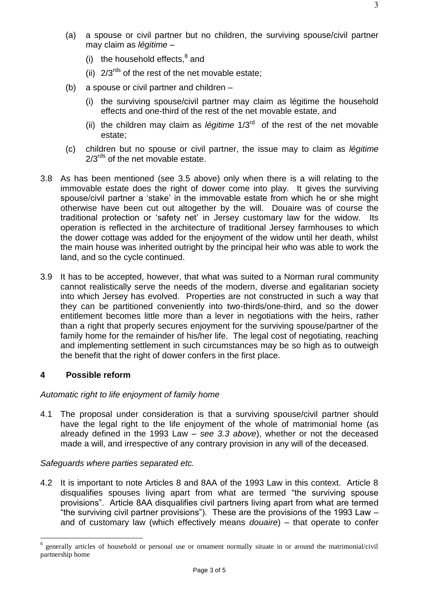- (a) a spouse or civil partner but no children, the surviving spouse/civil partner may claim as *légitime* –
	- (i) the household effects, $^8$  and
	- (ii)  $2/3^{rds}$  of the rest of the net movable estate;
- (b) a spouse or civil partner and children
	- (i) the surviving spouse/civil partner may claim as légitime the household effects and one-third of the rest of the net movable estate, and
	- (ii) the children may claim as *légitime* 1/3rd of the rest of the net movable estate;
- (c) children but no spouse or civil partner, the issue may to claim as *légitime*  $2/3^{rds}$  of the net movable estate.
- 3.8 As has been mentioned (see 3.5 above) only when there is a will relating to the immovable estate does the right of dower come into play. It gives the surviving spouse/civil partner a 'stake' in the immovable estate from which he or she might otherwise have been cut out altogether by the will. Douaire was of course the traditional protection or 'safety net' in Jersey customary law for the widow. Its operation is reflected in the architecture of traditional Jersey farmhouses to which the dower cottage was added for the enjoyment of the widow until her death, whilst the main house was inherited outright by the principal heir who was able to work the land, and so the cycle continued.
- 3.9 It has to be accepted, however, that what was suited to a Norman rural community cannot realistically serve the needs of the modern, diverse and egalitarian society into which Jersey has evolved. Properties are not constructed in such a way that they can be partitioned conveniently into two-thirds/one-third, and so the dower entitlement becomes little more than a lever in negotiations with the heirs, rather than a right that properly secures enjoyment for the surviving spouse/partner of the family home for the remainder of his/her life. The legal cost of negotiating, reaching and implementing settlement in such circumstances may be so high as to outweigh the benefit that the right of dower confers in the first place.

#### **4 Possible reform**

 $\overline{a}$ 

#### *Automatic right to life enjoyment of family home*

4.1 The proposal under consideration is that a surviving spouse/civil partner should have the legal right to the life enjoyment of the whole of matrimonial home (as already defined in the 1993 Law – *see 3.3 above*), whether or not the deceased made a will, and irrespective of any contrary provision in any will of the deceased.

#### *Safeguards where parties separated etc.*

4.2 It is important to note Articles 8 and 8AA of the 1993 Law in this context. Article 8 disqualifies spouses living apart from what are termed "the surviving spouse provisions". Article 8AA disqualifies civil partners living apart from what are termed "the surviving civil partner provisions"). These are the provisions of the 1993 Law – and of customary law (which effectively means *douaire*) – that operate to confer

<sup>8</sup> generally articles of household or personal use or ornament normally situate in or around the matrimonial/civil partnership home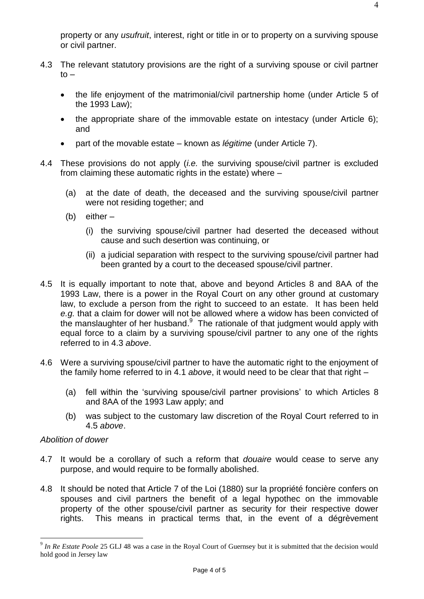property or any *usufruit*, interest, right or title in or to property on a surviving spouse or civil partner.

- 4.3 The relevant statutory provisions are the right of a surviving spouse or civil partner  $to$ 
	- the life enjoyment of the matrimonial/civil partnership home (under Article 5 of the 1993 Law);
	- the appropriate share of the immovable estate on intestacy (under Article 6); and
	- part of the movable estate known as *légitime* (under Article 7).
- 4.4 These provisions do not apply (*i.e.* the surviving spouse/civil partner is excluded from claiming these automatic rights in the estate) where –
	- (a) at the date of death, the deceased and the surviving spouse/civil partner were not residing together; and
	- (b) either
		- (i) the surviving spouse/civil partner had deserted the deceased without cause and such desertion was continuing, or
		- (ii) a judicial separation with respect to the surviving spouse/civil partner had been granted by a court to the deceased spouse/civil partner.
- 4.5 It is equally important to note that, above and beyond Articles 8 and 8AA of the 1993 Law, there is a power in the Royal Court on any other ground at customary law, to exclude a person from the right to succeed to an estate. It has been held *e.g.* that a claim for dower will not be allowed where a widow has been convicted of the manslaughter of her husband. The rationale of that judgment would apply with equal force to a claim by a surviving spouse/civil partner to any one of the rights referred to in 4.3 *above*.
- 4.6 Were a surviving spouse/civil partner to have the automatic right to the enjoyment of the family home referred to in 4.1 *above*, it would need to be clear that that right –
	- (a) fell within the 'surviving spouse/civil partner provisions' to which Articles 8 and 8AA of the 1993 Law apply; and
	- (b) was subject to the customary law discretion of the Royal Court referred to in 4.5 *above*.

#### *Abolition of dower*

 $\overline{a}$ 

- 4.7 It would be a corollary of such a reform that *douaire* would cease to serve any purpose, and would require to be formally abolished.
- 4.8 It should be noted that Article 7 of the Loi (1880) sur la propriété foncière confers on spouses and civil partners the benefit of a legal hypothec on the immovable property of the other spouse/civil partner as security for their respective dower rights. This means in practical terms that, in the event of a dégrèvement

<sup>9</sup> *In Re Estate Poole* 25 GLJ 48 was a case in the Royal Court of Guernsey but it is submitted that the decision would hold good in Jersey law